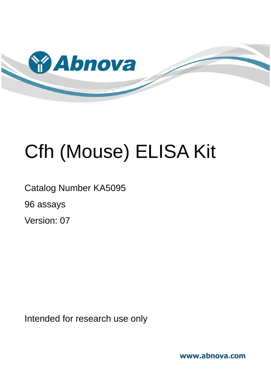

# Cfh (Mouse) ELISA Kit

Catalog Number KA5095

96 assays

Version: 07

Intended for research use only

**www.abnova.com**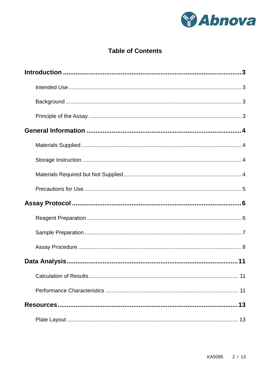

# **Table of Contents**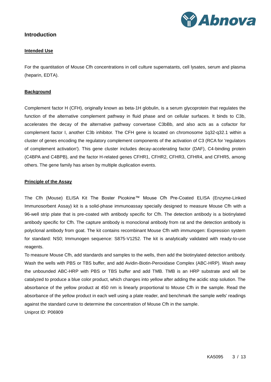

### <span id="page-2-1"></span><span id="page-2-0"></span>**Introduction**

#### **Intended Use**

For the quantitation of Mouse Cfh concentrations in cell culture supernatants, cell lysates, serum and plasma (heparin, EDTA).

#### <span id="page-2-2"></span>**Background**

Complement factor H (CFH), originally known as beta-1H globulin, is a serum glycoprotein that regulates the function of the alternative complement pathway in fluid phase and on cellular surfaces. It binds to C3b, accelerates the decay of the alternative pathway convertase C3bBb, and also acts as a cofactor for complement factor I, another C3b inhibitor. The CFH gene is located on chromosome 1q32-q32.1 within a cluster of genes encoding the regulatory complement components of the activation of C3 (RCA for 'regulators of complement activation'). This gene cluster includes decay-accelerating factor (DAF), C4-binding protein (C4BPA and C4BPB), and the factor H-related genes CFHR1, CFHR2, CFHR3, CFHR4, and CFHR5, among others. The gene family has arisen by multiple duplication events.

#### <span id="page-2-3"></span>**Principle of the Assay**

The Cfh (Mouse) ELISA Kit The Boster Picokine™ Mouse Cfh Pre-Coated ELISA (Enzyme-Linked Immunosorbent Assay) kit is a solid-phase immunoassay specially designed to measure Mouse Cfh with a 96-well strip plate that is pre-coated with antibody specific for Cfh. The detection antibody is a biotinylated antibody specific for Cfh. The capture antibody is monoclonal antibody from rat and the detection antibody is polyclonal antibody from goat. The kit contains recombinant Mouse Cfh with immunogen: Expression system for standard: NS0; Immunogen sequence: S875-V1252. The kit is analytically validated with ready-to-use reagents.

To measure Mouse Cfh, add standards and samples to the wells, then add the biotinylated detection antibody. Wash the wells with PBS or TBS buffer, and add Avidin-Biotin-Peroxidase Complex (ABC-HRP). Wash away the unbounded ABC-HRP with PBS or TBS buffer and add TMB. TMB is an HRP substrate and will be catalyzed to produce a blue color product, which changes into yellow after adding the acidic stop solution. The absorbance of the yellow product at 450 nm is linearly proportional to Mouse Cfh in the sample. Read the absorbance of the yellow product in each well using a plate reader, and benchmark the sample wells' readings against the standard curve to determine the concentration of Mouse Cfh in the sample. Uniprot ID: P06909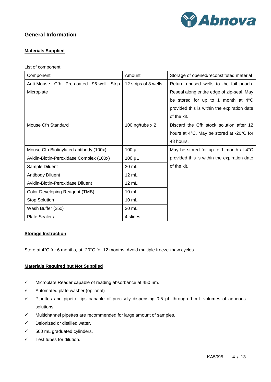

# <span id="page-3-1"></span><span id="page-3-0"></span>**General Information**

#### **Materials Supplied**

List of component

| Component                                      | Amount               | Storage of opened/reconstituted material         |
|------------------------------------------------|----------------------|--------------------------------------------------|
| Anti-Mouse<br>Cfh.<br>Pre-coated 96-well Strip | 12 strips of 8 wells | Return unused wells to the foil pouch.           |
| Microplate                                     |                      | Reseal along entire edge of zip-seal. May        |
|                                                |                      | be stored for up to 1 month at $4^{\circ}$ C     |
|                                                |                      | provided this is within the expiration date      |
|                                                |                      | of the kit.                                      |
| Mouse Cfh Standard                             | 100 ng/tube $x$ 2    | Discard the Cfh stock solution after 12          |
|                                                |                      | hours at 4°C. May be stored at -20°C for         |
|                                                |                      | 48 hours.                                        |
| Mouse Cfh Biotinylated antibody (100x)         | $100 \mu L$          | May be stored for up to 1 month at $4^{\circ}$ C |
| Avidin-Biotin-Peroxidase Complex (100x)        | $100 \mu L$          | provided this is within the expiration date      |
| Sample Diluent                                 | 30 mL                | of the kit.                                      |
| <b>Antibody Diluent</b>                        | 12 mL                |                                                  |
| Avidin-Biotin-Peroxidase Diluent               | 12 mL                |                                                  |
| Color Developing Reagent (TMB)                 | $10 \text{ mL}$      |                                                  |
| <b>Stop Solution</b>                           | $10 \text{ mL}$      |                                                  |
| Wash Buffer (25x)                              | 20 mL                |                                                  |
| <b>Plate Sealers</b>                           | 4 slides             |                                                  |

#### <span id="page-3-2"></span>**Storage Instruction**

<span id="page-3-3"></span>Store at 4°C for 6 months, at -20°C for 12 months. Avoid multiple freeze-thaw cycles.

#### **Materials Required but Not Supplied**

- $\checkmark$  Microplate Reader capable of reading absorbance at 450 nm.
- $\checkmark$  Automated plate washer (optional)
- $\checkmark$  Pipettes and pipette tips capable of precisely dispensing 0.5  $\mu$ L through 1 mL volumes of aqueous solutions.
- $\checkmark$  Multichannel pipettes are recommended for large amount of samples.
- $\checkmark$  Deionized or distilled water.
- $\checkmark$  500 mL graduated cylinders.
- $\checkmark$  Test tubes for dilution.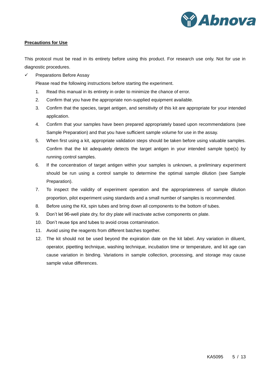

#### <span id="page-4-0"></span>**Precautions for Use**

This protocol must be read in its entirety before using this product. For research use only. Not for use in diagnostic procedures.

 $\checkmark$  Preparations Before Assay

Please read the following instructions before starting the experiment.

- 1. Read this manual in its entirety in order to minimize the chance of error.
- 2. Confirm that you have the appropriate non-supplied equipment available.
- 3. Confirm that the species, target antigen, and sensitivity of this kit are appropriate for your intended application.
- 4. Confirm that your samples have been prepared appropriately based upon recommendations (see Sample Preparation) and that you have sufficient sample volume for use in the assay.
- 5. When first using a kit, appropriate validation steps should be taken before using valuable samples. Confirm that the kit adequately detects the target antigen in your intended sample type(s) by running control samples.
- 6. If the concentration of target antigen within your samples is unknown, a preliminary experiment should be run using a control sample to determine the optimal sample dilution (see Sample Preparation).
- 7. To inspect the validity of experiment operation and the appropriateness of sample dilution proportion, pilot experiment using standards and a small number of samples is recommended.
- 8. Before using the Kit, spin tubes and bring down all components to the bottom of tubes.
- 9. Don't let 96-well plate dry, for dry plate will inactivate active components on plate.
- 10. Don't reuse tips and tubes to avoid cross contamination.
- 11. Avoid using the reagents from different batches together.
- 12. The kit should not be used beyond the expiration date on the kit label. Any variation in diluent, operator, pipetting technique, washing technique, incubation time or temperature, and kit age can cause variation in binding. Variations in sample collection, processing, and storage may cause sample value differences.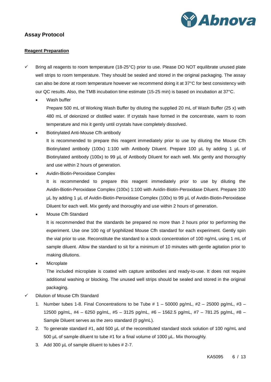

# <span id="page-5-1"></span><span id="page-5-0"></span>**Assay Protocol**

#### **Reagent Preparation**

- $\checkmark$  Bring all reagents to room temperature (18-25°C) prior to use. Please DO NOT equilibrate unused plate well strips to room temperature. They should be sealed and stored in the original packaging. The assay can also be done at room temperature however we recommend doing it at 37°C for best consistency with our QC results. Also, the TMB incubation time estimate (15-25 min) is based on incubation at 37°C.
	- Wash buffer

Prepare 500 mL of Working Wash Buffer by diluting the supplied 20 mL of Wash Buffer (25 x) with 480 mL of deionized or distilled water. If crystals have formed in the concentrate, warm to room temperature and mix it gently until crystals have completely dissolved.

- Biotinylated Anti-Mouse Cfh antibody It is recommended to prepare this reagent immediately prior to use by diluting the Mouse Cfh Biotinylated antibody (100x) 1:100 with Antibody Diluent. Prepare 100 µL by adding 1 µL of Biotinylated antibody (100x) to 99 µL of Antibody Diluent for each well. Mix gently and thoroughly and use within 2 hours of generation.
- Avidin-Biotin-Peroxidase Complex

It is recommended to prepare this reagent immediately prior to use by diluting the Avidin-Biotin-Peroxidase Complex (100x) 1:100 with Avidin-Biotin-Peroxidase Diluent. Prepare 100 µL by adding 1 µL of Avidin-Biotin-Peroxidase Complex (100x) to 99 µL of Avidin-Biotin-Peroxidase Diluent for each well. Mix gently and thoroughly and use within 2 hours of generation.

Mouse Cfh Standard

It is recommended that the standards be prepared no more than 2 hours prior to performing the experiment. Use one 100 ng of lyophilized Mouse Cfh standard for each experiment. Gently spin the vial prior to use. Reconstitute the standard to a stock concentration of 100 ng/mL using 1 mL of sample diluent. Allow the standard to sit for a minimum of 10 minutes with gentle agitation prior to making dilutions.

**Microplate** 

The included microplate is coated with capture antibodies and ready-to-use. It does not require additional washing or blocking. The unused well strips should be sealed and stored in the original packaging.

- Dilution of Mouse Cfh Standard
	- 1. Number tubes 1-8. Final Concentrations to be Tube  $# 1 50000$  pg/mL,  $#2 25000$  pg/mL,  $#3 10000$ 12500 pg/mL, #4 – 6250 pg/mL, #5 – 3125 pg/mL, #6 – 1562.5 pg/mL, #7 – 781.25 pg/mL, #8 – Sample Diluent serves as the zero standard (0 pg/mL).
	- 2. To generate standard #1, add 500 µL of the reconstituted standard stock solution of 100 ng/mL and 500 µL of sample diluent to tube #1 for a final volume of 1000 µL. Mix thoroughly.
	- 3. Add 300 µL of sample diluent to tubes # 2-7.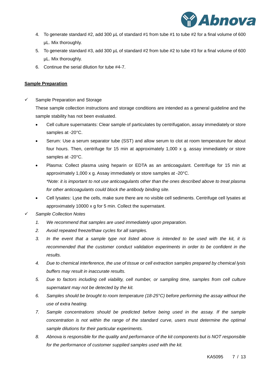

- 4. To generate standard #2, add 300 µL of standard #1 from tube #1 to tube #2 for a final volume of 600 µL. Mix thoroughly.
- 5. To generate standard #3, add 300 µL of standard #2 from tube #2 to tube #3 for a final volume of 600 µL. Mix thoroughly.
- 6. Continue the serial dilution for tube #4-7.

#### <span id="page-6-0"></span>**Sample Preparation**

 $\checkmark$  Sample Preparation and Storage

These sample collection instructions and storage conditions are intended as a general guideline and the sample stability has not been evaluated.

- Cell culture supernatants: Clear sample of particulates by centrifugation, assay immediately or store samples at -20°C.
- Serum: Use a serum separator tube (SST) and allow serum to clot at room temperature for about four hours. Then, centrifuge for 15 min at approximately 1,000 x g. assay immediately or store samples at -20°C.
- Plasma: Collect plasma using heparin or EDTA as an anticoagulant. Centrifuge for 15 min at approximately 1,000 x g. Assay immediately or store samples at -20°C. *\*Note: it is important to not use anticoagulants other than the ones described above to treat plasma for other anticoagulants could block the antibody binding site.*
- Cell lysates: Lyse the cells, make sure there are no visible cell sediments. Centrifuge cell lysates at approximately 10000 x g for 5 min. Collect the supernatant.
- *Sample Collection Notes*
	- *1. We recommend that samples are used immediately upon preparation.*
	- *2. Avoid repeated freeze/thaw cycles for all samples.*
	- *3. In the event that a sample type not listed above is intended to be used with the kit, it is recommended that the customer conduct validation experiments in order to be confident in the results.*
	- *4. Due to chemical interference, the use of tissue or cell extraction samples prepared by chemical lysis buffers may result in inaccurate results.*
	- *5. Due to factors including cell viability, cell number, or sampling time, samples from cell culture supernatant may not be detected by the kit.*
	- *6. Samples should be brought to room temperature (18-25°C) before performing the assay without the use of extra heating.*
	- *7. Sample concentrations should be predicted before being used in the assay. If the sample concentration is not within the range of the standard curve, users must determine the optimal sample dilutions for their particular experiments.*
	- *8. Abnova is responsible for the quality and performance of the kit components but is NOT responsible for the performance of customer supplied samples used with the kit.*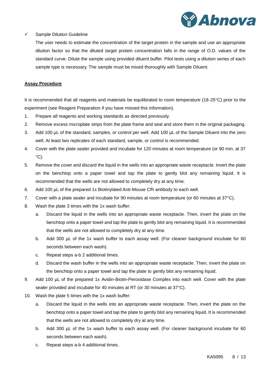

#### $\checkmark$  Sample Dilution Guideline

The user needs to estimate the concentration of the target protein in the sample and use an appropriate dilution factor so that the diluted target protein concentration falls in the range of O.D. values of the standard curve. Dilute the sample using provided diluent buffer. Pilot tests using a dilution series of each sample type is necessary. The sample must be mixed thoroughly with Sample Diluent.

#### <span id="page-7-0"></span>**Assay Procedure**

It is recommended that all reagents and materials be equilibrated to room temperature (18-25°C) prior to the experiment (see Reagent Preparation if you have missed this information).

- 1. Prepare all reagents and working standards as directed previously.
- 2. Remove excess microplate strips from the plate frame and seal and store them in the original packaging.
- 3. Add 100 µL of the standard, samples, or control per well. Add 100 µL of the Sample Diluent into the zero well. At least two replicates of each standard, sample, or control is recommended.
- 4. Cover with the plate sealer provided and incubate for 120 minutes at room temperature (or 90 min. at 37  $^{\circ}$ C).
- 5. Remove the cover and discard the liquid in the wells into an appropriate waste receptacle. Invert the plate on the benchtop onto a paper towel and tap the plate to gently blot any remaining liquid. It is recommended that the wells are not allowed to completely dry at any time.
- 6. Add 100 µL of the prepared 1x Biotinylated Anti-Mouse Cfh antibody to each well.
- 7. Cover with a plate sealer and incubate for 90 minutes at room temperature (or 60 minutes at 37°C).
- 8. Wash the plate 3 times with the 1x wash buffer:
	- a. Discard the liquid in the wells into an appropriate waste receptacle. Then, invert the plate on the benchtop onto a paper towel and tap the plate to gently blot any remaining liquid. It is recommended that the wells are not allowed to completely dry at any time.
	- b. Add 300 µL of the 1x wash buffer to each assay well. (For cleaner background incubate for 60 seconds between each wash).
	- c. Repeat steps a-b 2 additional times.
	- d. Discard the wash buffer in the wells into an appropriate waste receptacle. Then, invert the plate on the benchtop onto a paper towel and tap the plate to gently blot any remaining liquid.
- 9. Add 100 µL of the prepared 1x Avidin-Biotin-Peroxidase Complex into each well. Cover with the plate sealer provided and incubate for 40 minutes at RT (or 30 minutes at 37°C).
- 10. Wash the plate 5 times with the 1x wash buffer:
	- a. Discard the liquid in the wells into an appropriate waste receptacle. Then, invert the plate on the benchtop onto a paper towel and tap the plate to gently blot any remaining liquid. It is recommended that the wells are not allowed to completely dry at any time.
	- b. Add 300 uL of the 1x wash buffer to each assay well. (For cleaner background incubate for 60 seconds between each wash).
	- c. Repeat steps a-b 4 additional times.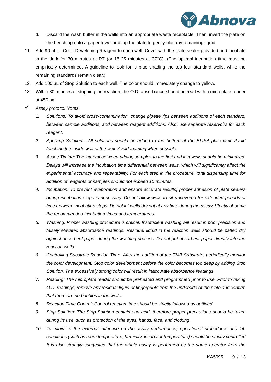

- d. Discard the wash buffer in the wells into an appropriate waste receptacle. Then, invert the plate on the benchtop onto a paper towel and tap the plate to gently blot any remaining liquid.
- 11. Add 90 µL of Color Developing Reagent to each well. Cover with the plate sealer provided and incubate in the dark for 30 minutes at RT (or 15-25 minutes at 37°C). (The optimal incubation time must be empirically determined. A guideline to look for is blue shading the top four standard wells, while the remaining standards remain clear.)
- 12. Add 100 µL of Stop Solution to each well. The color should immediately change to yellow.
- 13. Within 30 minutes of stopping the reaction, the O.D. absorbance should be read with a microplate reader at 450 nm.
- *Assay protocol Notes*
	- *1. Solutions: To avoid cross-contamination, change pipette tips between additions of each standard, between sample additions, and between reagent additions. Also, use separate reservoirs for each reagent.*
	- *2. Applying Solutions: All solutions should be added to the bottom of the ELISA plate well. Avoid touching the inside wall of the well. Avoid foaming when possible.*
	- *3. Assay Timing: The interval between adding samples to the first and last wells should be minimized. Delays will increase the incubation time differential between wells, which will significantly affect the experimental accuracy and repeatability. For each step in the procedure, total dispensing time for addition of reagents or samples should not exceed 10 minutes.*
	- *4. Incubation: To prevent evaporation and ensure accurate results, proper adhesion of plate sealers during incubation steps is necessary. Do not allow wells to sit uncovered for extended periods of*  time between incubation steps. Do not let wells dry out at any time during the assay. Strictly observe *the recommended incubation times and temperatures.*
	- *5. Washing: Proper washing procedure is critical. Insufficient washing will result in poor precision and falsely elevated absorbance readings. Residual liquid in the reaction wells should be patted dry against absorbent paper during the washing process. Do not put absorbent paper directly into the reaction wells.*
	- *6. Controlling Substrate Reaction Time: After the addition of the TMB Substrate, periodically monitor the color development. Stop color development before the color becomes too deep by adding Stop Solution. The excessively strong color will result in inaccurate absorbance readings.*
	- *7. Reading: The microplate reader should be preheated and programmed prior to use. Prior to taking O.D. readings, remove any residual liquid or fingerprints from the underside of the plate and confirm that there are no bubbles in the wells.*
	- *8. Reaction Time Control: Control reaction time should be strictly followed as outlined.*
	- *9. Stop Solution: The Stop Solution contains an acid, therefore proper precautions should be taken during its use, such as protection of the eyes, hands, face, and clothing.*
	- *10. To minimize the external influence on the assay performance, operational procedures and lab conditions (such as room temperature, humidity, incubator temperature) should be strictly controlled. It is also strongly suggested that the whole assay is performed by the same operator from the*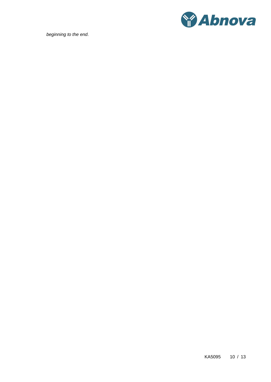

*beginning to the end.*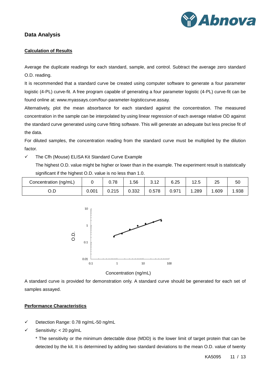

# <span id="page-10-1"></span><span id="page-10-0"></span>**Data Analysis**

#### **Calculation of Results**

Average the duplicate readings for each standard, sample, and control. Subtract the average zero standard O.D. reading.

It is recommended that a standard curve be created using computer software to generate a four parameter logistic (4-PL) curve-fit. A free program capable of generating a four parameter logistic (4-PL) curve-fit can be found online at: www.myassays.com/four-parameter-logisticcurve.assay.

Alternatively, plot the mean absorbance for each standard against the concentration. The measured concentration in the sample can be interpolated by using linear regression of each average relative OD against the standard curve generated using curve fitting software. This will generate an adequate but less precise fit of the data.

For diluted samples, the concentration reading from the standard curve must be multiplied by the dilution factor.

 $\checkmark$  The Cfh (Mouse) ELISA Kit Standard Curve Example

The highest O.D. value might be higher or lower than in the example. The experiment result is statistically significant if the highest O.D. value is no less than 1.0.

| Concentration (ng/mL) |       | 0.78  | .56   | 240<br>ے ا. اب | 6.25  | 12.5 | つに<br>້ | ວບ   |
|-----------------------|-------|-------|-------|----------------|-------|------|---------|------|
| U.U                   | 0.001 | 0.215 | 0.332 | J.578          | 0.971 | .289 | .609    | .938 |





A standard curve is provided for demonstration only. A standard curve should be generated for each set of samples assayed.

#### <span id="page-10-2"></span>**Performance Characteristics**

- $\checkmark$  Detection Range: 0.78 ng/mL-50 ng/mL
- $\checkmark$  Sensitivity: < 20 pg/mL

\* The sensitivity or the minimum detectable dose (MDD) is the lower limit of target protein that can be detected by the kit. It is determined by adding two standard deviations to the mean O.D. value of twenty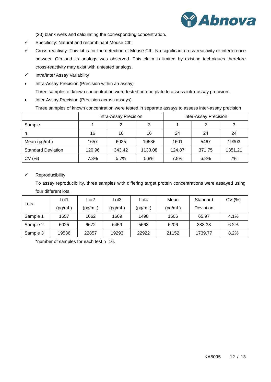

(20) blank wells and calculating the corresponding concentration.

- $\checkmark$  Specificity: Natural and recombinant Mouse Cfh
- $\checkmark$  Cross-reactivity: This kit is for the detection of Mouse Cfh. No significant cross-reactivity or interference between Cfh and its analogs was observed. This claim is limited by existing techniques therefore cross-reactivity may exist with untested analogs.
- $\checkmark$  Intra/Inter Assay Variability
- Intra-Assay Precision (Precision within an assay) Three samples of known concentration were tested on one plate to assess intra-assay precision.
- Inter-Assay Precision (Precision across assays)

Three samples of known concentration were tested in separate assays to assess inter-assay precision

|                           |        | Intra-Assay Precision |         | <b>Inter-Assay Precision</b> |        |         |  |
|---------------------------|--------|-----------------------|---------|------------------------------|--------|---------|--|
| Sample                    |        | 2                     | 3       |                              | 2      | 3       |  |
| n                         | 16     | 16                    | 16      | 24                           | 24     | 24      |  |
| Mean (pg/mL)              | 1657   | 6025                  | 19536   | 1601                         | 5467   | 19303   |  |
| <b>Standard Deviation</b> | 120.96 | 343.42                | 1133.08 | 124.87                       | 371.75 | 1351.21 |  |
| CV(%)                     | 7.3%   | 5.7%                  | 5.8%    | 7.8%                         | 6.8%   | 7%      |  |

#### $\checkmark$  Reproducibility

To assay reproducibility, three samples with differing target protein concentrations were assayed using four different lots.

| Lots     | ∟ot1    | Lot <sub>2</sub> | Lot3    | Lot4    | Mean    | Standard  | CV(%) |
|----------|---------|------------------|---------|---------|---------|-----------|-------|
|          | (pg/mL) | (pg/mL)          | (pg/mL) | (pg/mL) | (pg/mL) | Deviation |       |
| Sample 1 | 1657    | 1662             | 1609    | 1498    | 1606    | 65.97     | 4.1%  |
| Sample 2 | 6025    | 6672             | 6459    | 5668    | 6206    | 388.38    | 6.2%  |
| Sample 3 | 19536   | 22857            | 19293   | 22922   | 21152   | 1739.77   | 8.2%  |

\*number of samples for each test n=16.